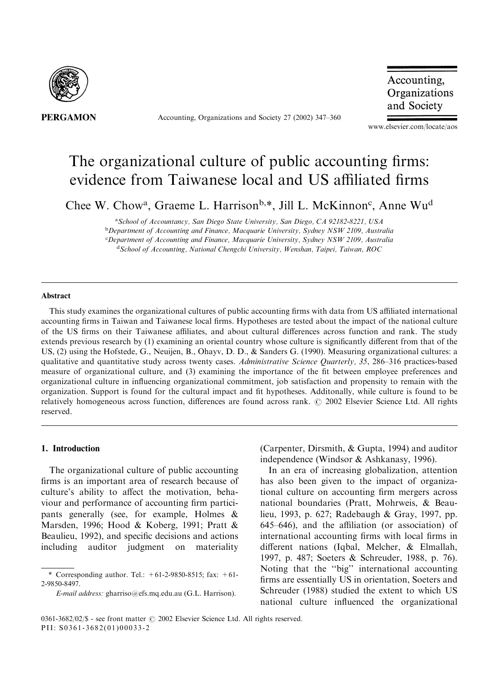

Accounting, Organizations and Society 27 (2002) 347–360

Accounting, Organizations and Society

www.elsevier.com/locate/aos

## The organizational culture of public accounting firms: evidence from Taiwanese local and US affiliated firms

Chee W. Chow<sup>a</sup>, Graeme L. Harrison<sup>b,\*</sup>, Jill L. McKinnon<sup>c</sup>, Anne Wu<sup>d</sup>

<sup>a</sup> School of Accountancy, San Diego State University, San Diego, CA 92182-8221, USA <sup>b</sup>Department of Accounting and Finance, Macquarie University, Sydney NSW 2109, Australia c Department of Accounting and Finance, Macquarie University, Sydney NSW 2109, Australia <sup>d</sup>School of Accounting, National Chengchi University, Wenshan, Taipei, Taiwan, ROC

## Abstract

This study examines the organizational cultures of public accounting firms with data from US affiliated international accounting firms in Taiwan and Taiwanese local firms. Hypotheses are tested about the impact of the national culture of the US firms on their Taiwanese affiliates, and about cultural differences across function and rank. The study extends previous research by (1) examining an oriental country whose culture is significantly different from that of the US, (2) using the Hofstede, G., Neuijen, B., Ohayv, D. D., & Sanders G. (1990). Measuring organizational cultures: a qualitative and quantitative study across twenty cases. Administrative Science Quarterly, 35, 286–316 practices-based measure of organizational culture, and (3) examining the importance of the fit between employee preferences and organizational culture in influencing organizational commitment, job satisfaction and propensity to remain with the organization. Support is found for the cultural impact and fit hypotheses. Additonally, while culture is found to be relatively homogeneous across function, differences are found across rank.  $\odot$  2002 Elsevier Science Ltd. All rights reserved.

## 1. Introduction

The organizational culture of public accounting firms is an important area of research because of culture's ability to affect the motivation, behaviour and performance of accounting firm participants generally (see, for example, Holmes & Marsden, 1996; Hood & Koberg, 1991; Pratt & Beaulieu, 1992), and specific decisions and actions including auditor judgment on materiality

(Carpenter, Dirsmith, & Gupta, 1994) and auditor independence (Windsor & Ashkanasy, 1996).

In an era of increasing globalization, attention has also been given to the impact of organizational culture on accounting firm mergers across national boundaries (Pratt, Mohrweis, & Beaulieu, 1993, p. 627; Radebaugh & Gray, 1997, pp. 645–646), and the affiliation (or association) of international accounting firms with local firms in different nations (Iqbal, Melcher, & Elmallah, 1997, p. 487; Soeters & Schreuder, 1988, p. 76). Noting that the ''big'' international accounting firms are essentially US in orientation, Soeters and Schreuder (1988) studied the extent to which US national culture influenced the organizational

<sup>\*</sup> Corresponding author. Tel.:  $+61-2-9850-8515$ ; fax:  $+61-$ 2-9850-8497.

E-mail address: gharriso@efs.mq.edu.au (G.L. Harrison).

<sup>0361-3682/02/\$ -</sup> see front matter  $\odot$  2002 Elsevier Science Ltd. All rights reserved. PII: S0361-3682(01)00033-2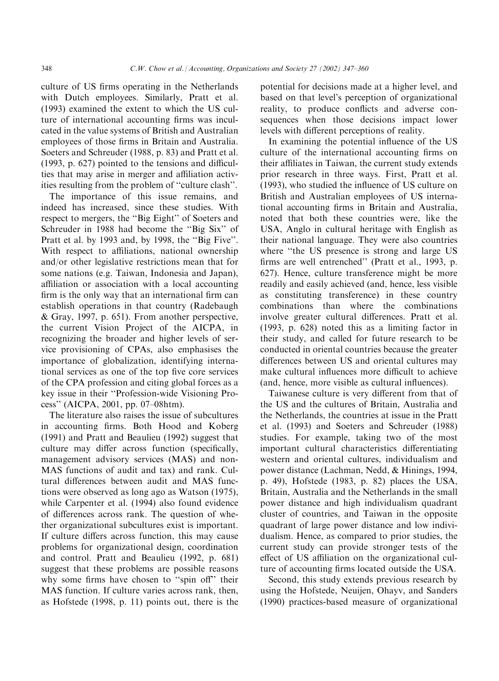culture of US firms operating in the Netherlands with Dutch employees. Similarly, Pratt et al. (1993) examined the extent to which the US culture of international accounting firms was inculcated in the value systems of British and Australian employees of those firms in Britain and Australia. Soeters and Schreuder (1988, p. 83) and Pratt et al. (1993, p. 627) pointed to the tensions and difficulties that may arise in merger and affiliation activities resulting from the problem of ''culture clash''.

The importance of this issue remains, and indeed has increased, since these studies. With respect to mergers, the ''Big Eight'' of Soeters and Schreuder in 1988 had become the "Big Six" of Pratt et al. by 1993 and, by 1998, the ''Big Five''. With respect to affiliations, national ownership and/or other legislative restrictions mean that for some nations (e.g. Taiwan, Indonesia and Japan), affiliation or association with a local accounting firm is the only way that an international firm can establish operations in that country (Radebaugh & Gray, 1997, p. 651). From another perspective, the current Vision Project of the AICPA, in recognizing the broader and higher levels of service provisioning of CPAs, also emphasises the importance of globalization, identifying international services as one of the top five core services of the CPA profession and citing global forces as a key issue in their ''Profession-wide Visioning Process'' (AICPA, 2001, pp. 07–08htm).

The literature also raises the issue of subcultures in accounting firms. Both Hood and Koberg (1991) and Pratt and Beaulieu (1992) suggest that culture may differ across function (specifically, management advisory services (MAS) and non-MAS functions of audit and tax) and rank. Cultural differences between audit and MAS functions were observed as long ago as Watson (1975), while Carpenter et al. (1994) also found evidence of differences across rank. The question of whether organizational subcultures exist is important. If culture differs across function, this may cause problems for organizational design, coordination and control. Pratt and Beaulieu (1992, p. 681) suggest that these problems are possible reasons why some firms have chosen to ''spin off'' their MAS function. If culture varies across rank, then, as Hofstede (1998, p. 11) points out, there is the

potential for decisions made at a higher level, and based on that level's perception of organizational reality, to produce conflicts and adverse consequences when those decisions impact lower levels with different perceptions of reality.

In examining the potential influence of the US culture of the international accounting firms on their affiliates in Taiwan, the current study extends prior research in three ways. First, Pratt et al. (1993), who studied the influence of US culture on British and Australian employees of US international accounting firms in Britain and Australia, noted that both these countries were, like the USA, Anglo in cultural heritage with English as their national language. They were also countries where "the US presence is strong and large US firms are well entrenched'' (Pratt et al., 1993, p. 627). Hence, culture transference might be more readily and easily achieved (and, hence, less visible as constituting transference) in these country combinations than where the combinations involve greater cultural differences. Pratt et al. (1993, p. 628) noted this as a limiting factor in their study, and called for future research to be conducted in oriental countries because the greater differences between US and oriental cultures may make cultural influences more difficult to achieve (and, hence, more visible as cultural influences).

Taiwanese culture is very different from that of the US and the cultures of Britain, Australia and the Netherlands, the countries at issue in the Pratt et al. (1993) and Soeters and Schreuder (1988) studies. For example, taking two of the most important cultural characteristics differentiating western and oriental cultures, individualism and power distance (Lachman, Nedd, & Hinings, 1994, p. 49), Hofstede (1983, p. 82) places the USA, Britain, Australia and the Netherlands in the small power distance and high individualism quadrant cluster of countries, and Taiwan in the opposite quadrant of large power distance and low individualism. Hence, as compared to prior studies, the current study can provide stronger tests of the effect of US affiliation on the organizational culture of accounting firms located outside the USA.

Second, this study extends previous research by using the Hofstede, Neuijen, Ohayv, and Sanders (1990) practices-based measure of organizational